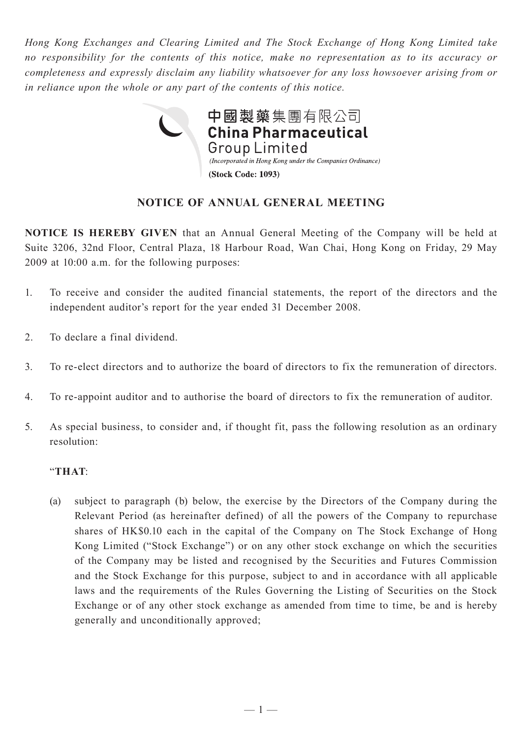*Hong Kong Exchanges and Clearing Limited and The Stock Exchange of Hong Kong Limited take no responsibility for the contents of this notice, make no representation as to its accuracy or completeness and expressly disclaim any liability whatsoever for any loss howsoever arising from or in reliance upon the whole or any part of the contents of this notice.*



# **NOTICE OF ANNUAL GENERAL MEETING**

**NOTICE IS HEREBY GIVEN** that an Annual General Meeting of the Company will be held at Suite 3206, 32nd Floor, Central Plaza, 18 Harbour Road, Wan Chai, Hong Kong on Friday, 29 May 2009 at 10:00 a.m. for the following purposes:

- 1. To receive and consider the audited financial statements, the report of the directors and the independent auditor's report for the year ended 31 December 2008.
- 2. To declare a final dividend.
- 3. To re-elect directors and to authorize the board of directors to fix the remuneration of directors.
- 4. To re-appoint auditor and to authorise the board of directors to fix the remuneration of auditor.
- 5. As special business, to consider and, if thought fit, pass the following resolution as an ordinary resolution:

### "**THAT**:

(a) subject to paragraph (b) below, the exercise by the Directors of the Company during the Relevant Period (as hereinafter defined) of all the powers of the Company to repurchase shares of HK\$0.10 each in the capital of the Company on The Stock Exchange of Hong Kong Limited ("Stock Exchange") or on any other stock exchange on which the securities of the Company may be listed and recognised by the Securities and Futures Commission and the Stock Exchange for this purpose, subject to and in accordance with all applicable laws and the requirements of the Rules Governing the Listing of Securities on the Stock Exchange or of any other stock exchange as amended from time to time, be and is hereby generally and unconditionally approved;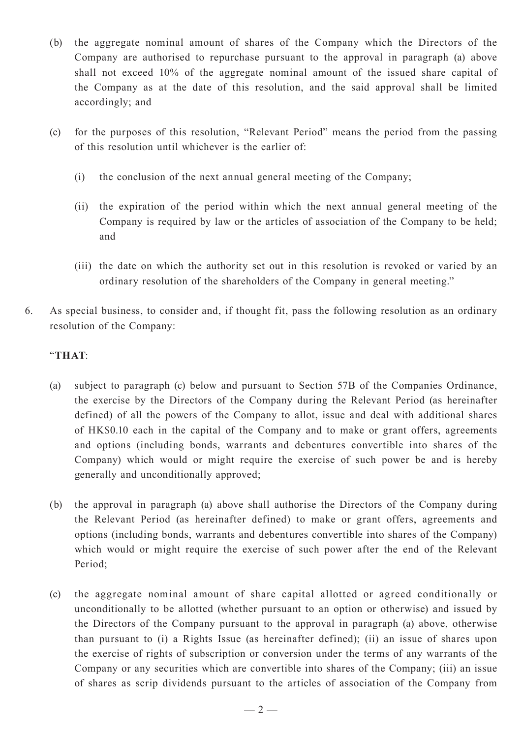- (b) the aggregate nominal amount of shares of the Company which the Directors of the Company are authorised to repurchase pursuant to the approval in paragraph (a) above shall not exceed 10% of the aggregate nominal amount of the issued share capital of the Company as at the date of this resolution, and the said approval shall be limited accordingly; and
- (c) for the purposes of this resolution, "Relevant Period" means the period from the passing of this resolution until whichever is the earlier of:
	- (i) the conclusion of the next annual general meeting of the Company;
	- (ii) the expiration of the period within which the next annual general meeting of the Company is required by law or the articles of association of the Company to be held; and
	- (iii) the date on which the authority set out in this resolution is revoked or varied by an ordinary resolution of the shareholders of the Company in general meeting."
- 6. As special business, to consider and, if thought fit, pass the following resolution as an ordinary resolution of the Company:

## "**THAT**:

- (a) subject to paragraph (c) below and pursuant to Section 57B of the Companies Ordinance, the exercise by the Directors of the Company during the Relevant Period (as hereinafter defined) of all the powers of the Company to allot, issue and deal with additional shares of HK\$0.10 each in the capital of the Company and to make or grant offers, agreements and options (including bonds, warrants and debentures convertible into shares of the Company) which would or might require the exercise of such power be and is hereby generally and unconditionally approved;
- (b) the approval in paragraph (a) above shall authorise the Directors of the Company during the Relevant Period (as hereinafter defined) to make or grant offers, agreements and options (including bonds, warrants and debentures convertible into shares of the Company) which would or might require the exercise of such power after the end of the Relevant Period;
- (c) the aggregate nominal amount of share capital allotted or agreed conditionally or unconditionally to be allotted (whether pursuant to an option or otherwise) and issued by the Directors of the Company pursuant to the approval in paragraph (a) above, otherwise than pursuant to (i) a Rights Issue (as hereinafter defined); (ii) an issue of shares upon the exercise of rights of subscription or conversion under the terms of any warrants of the Company or any securities which are convertible into shares of the Company; (iii) an issue of shares as scrip dividends pursuant to the articles of association of the Company from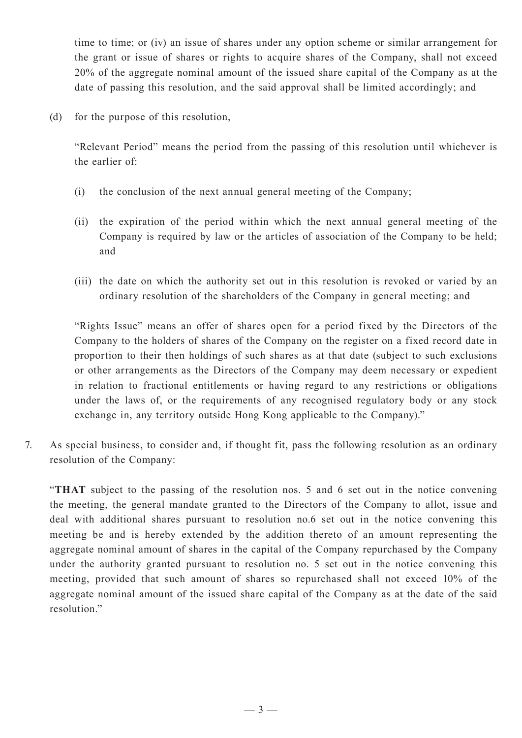time to time; or (iv) an issue of shares under any option scheme or similar arrangement for the grant or issue of shares or rights to acquire shares of the Company, shall not exceed 20% of the aggregate nominal amount of the issued share capital of the Company as at the date of passing this resolution, and the said approval shall be limited accordingly; and

(d) for the purpose of this resolution,

"Relevant Period" means the period from the passing of this resolution until whichever is the earlier of:

- (i) the conclusion of the next annual general meeting of the Company;
- (ii) the expiration of the period within which the next annual general meeting of the Company is required by law or the articles of association of the Company to be held; and
- (iii) the date on which the authority set out in this resolution is revoked or varied by an ordinary resolution of the shareholders of the Company in general meeting; and

"Rights Issue" means an offer of shares open for a period fixed by the Directors of the Company to the holders of shares of the Company on the register on a fixed record date in proportion to their then holdings of such shares as at that date (subject to such exclusions or other arrangements as the Directors of the Company may deem necessary or expedient in relation to fractional entitlements or having regard to any restrictions or obligations under the laws of, or the requirements of any recognised regulatory body or any stock exchange in, any territory outside Hong Kong applicable to the Company)."

7. As special business, to consider and, if thought fit, pass the following resolution as an ordinary resolution of the Company:

"**THAT** subject to the passing of the resolution nos. 5 and 6 set out in the notice convening the meeting, the general mandate granted to the Directors of the Company to allot, issue and deal with additional shares pursuant to resolution no.6 set out in the notice convening this meeting be and is hereby extended by the addition thereto of an amount representing the aggregate nominal amount of shares in the capital of the Company repurchased by the Company under the authority granted pursuant to resolution no. 5 set out in the notice convening this meeting, provided that such amount of shares so repurchased shall not exceed 10% of the aggregate nominal amount of the issued share capital of the Company as at the date of the said resolution."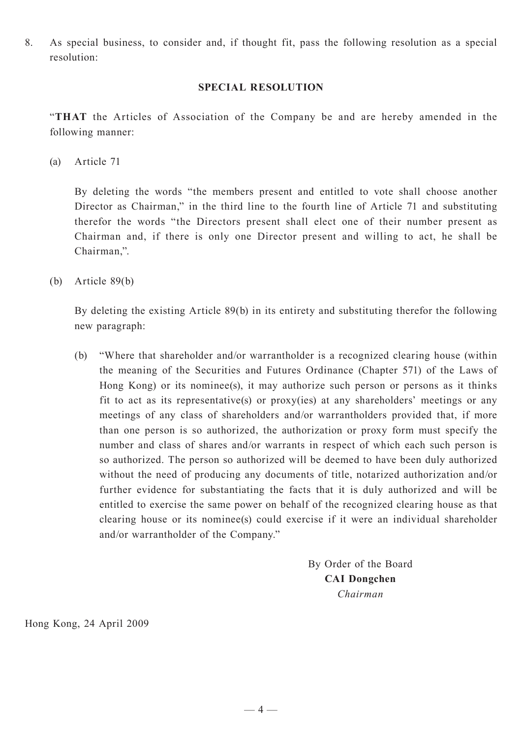8. As special business, to consider and, if thought fit, pass the following resolution as a special resolution:

#### **SPECIAL RESOLUTION**

"**THAT** the Articles of Association of the Company be and are hereby amended in the following manner:

(a) Article 71

By deleting the words "the members present and entitled to vote shall choose another Director as Chairman," in the third line to the fourth line of Article 71 and substituting therefor the words "the Directors present shall elect one of their number present as Chairman and, if there is only one Director present and willing to act, he shall be Chairman,".

(b) Article 89(b)

By deleting the existing Article 89(b) in its entirety and substituting therefor the following new paragraph:

(b) "Where that shareholder and/or warrantholder is a recognized clearing house (within the meaning of the Securities and Futures Ordinance (Chapter 571) of the Laws of Hong Kong) or its nominee(s), it may authorize such person or persons as it thinks fit to act as its representative(s) or proxy(ies) at any shareholders' meetings or any meetings of any class of shareholders and/or warrantholders provided that, if more than one person is so authorized, the authorization or proxy form must specify the number and class of shares and/or warrants in respect of which each such person is so authorized. The person so authorized will be deemed to have been duly authorized without the need of producing any documents of title, notarized authorization and/or further evidence for substantiating the facts that it is duly authorized and will be entitled to exercise the same power on behalf of the recognized clearing house as that clearing house or its nominee(s) could exercise if it were an individual shareholder and/or warrantholder of the Company."

> By Order of the Board **CAI Dongchen** *Chairman*

Hong Kong, 24 April 2009